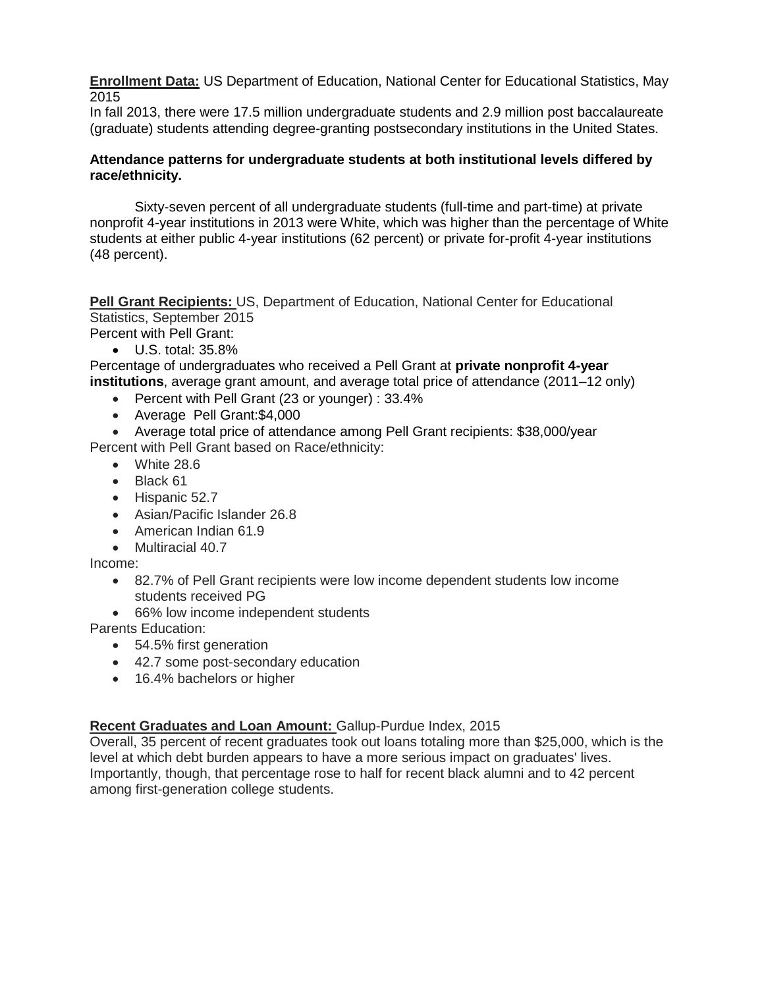**Enrollment Data:** US Department of Education, National Center for Educational Statistics, May 2015

In fall 2013, there were 17.5 million undergraduate students and 2.9 million post baccalaureate (graduate) students attending degree-granting postsecondary institutions in the United States.

## **Attendance patterns for undergraduate students at both institutional levels differed by race/ethnicity.**

Sixty-seven percent of all undergraduate students (full-time and part-time) at private nonprofit 4-year institutions in 2013 were White, which was higher than the percentage of White students at either public 4-year institutions (62 percent) or private for-profit 4-year institutions (48 percent).

**Pell Grant Recipients:** US, Department of Education, National Center for Educational Statistics, September 2015

Percent with Pell Grant:

 $\bullet$  U.S. total: 35.8%

Percentage of undergraduates who received a Pell Grant at **private nonprofit 4-year institutions**, average grant amount, and average total price of attendance (2011–12 only)

- Percent with Pell Grant (23 or younger) : 33.4%
- Average Pell Grant:\$4,000

Average total price of attendance among Pell Grant recipients: \$38,000/year

Percent with Pell Grant based on Race/ethnicity:

- White 28.6
- Black 61
- Hispanic 52.7
- Asian/Pacific Islander 26.8
- American Indian 61.9
- Multiracial 40.7

Income:

- 82.7% of Pell Grant recipients were low income dependent students low income students received PG
- 66% low income independent students

Parents Education:

- 54.5% first generation
- 42.7 some post-secondary education
- 16.4% bachelors or higher

## **Recent Graduates and Loan Amount:** Gallup-Purdue Index, 2015

Overall, 35 percent of recent graduates took out loans totaling more than \$25,000, which is the level at which debt burden appears to have a more serious impact on graduates' lives. Importantly, though, that percentage rose to half for recent black alumni and to 42 percent among first-generation college students.